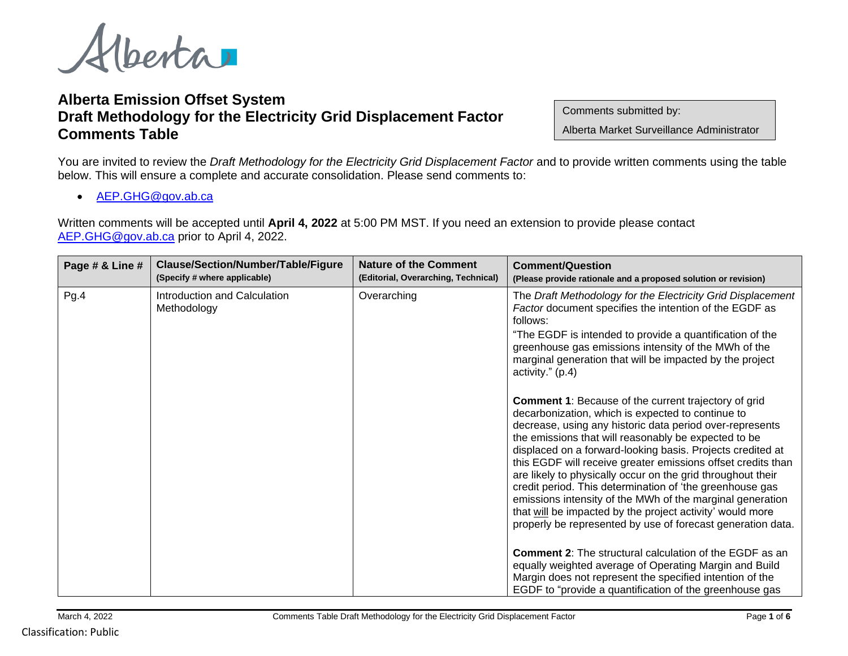Alberta

## **Alberta Emission Offset System Draft Methodology for the Electricity Grid Displacement Factor Comments Table**

Comments submitted by:

Alberta Market Surveillance Administrator

You are invited to review the *Draft Methodology for the Electricity Grid Displacement Factor* and to provide written comments using the table below. This will ensure a complete and accurate consolidation. Please send comments to:

• [AEP.GHG@gov.ab.ca](mailto:AEP.GHG@gov.ab.ca)

Written comments will be accepted until **April 4, 2022** at 5:00 PM MST. If you need an extension to provide please contact [AEP.GHG@gov.ab.ca](mailto:AEP.GHG@gov.ab.ca) prior to April 4, 2022.

| Page # & Line # | Clause/Section/Number/Table/Figure<br>(Specify # where applicable) | <b>Nature of the Comment</b><br>(Editorial, Overarching, Technical) | <b>Comment/Question</b><br>(Please provide rationale and a proposed solution or revision)                                                                                                                                                                                                                                                                                                                                                                                                                                                                                                                                                                                                                                                                                                                                                                                                                                                                                                                                       |
|-----------------|--------------------------------------------------------------------|---------------------------------------------------------------------|---------------------------------------------------------------------------------------------------------------------------------------------------------------------------------------------------------------------------------------------------------------------------------------------------------------------------------------------------------------------------------------------------------------------------------------------------------------------------------------------------------------------------------------------------------------------------------------------------------------------------------------------------------------------------------------------------------------------------------------------------------------------------------------------------------------------------------------------------------------------------------------------------------------------------------------------------------------------------------------------------------------------------------|
| Pg.4            | Introduction and Calculation<br>Methodology                        | Overarching                                                         | The Draft Methodology for the Electricity Grid Displacement<br>Factor document specifies the intention of the EGDF as<br>follows:<br>"The EGDF is intended to provide a quantification of the<br>greenhouse gas emissions intensity of the MWh of the<br>marginal generation that will be impacted by the project<br>activity." (p.4)<br><b>Comment 1: Because of the current trajectory of grid</b><br>decarbonization, which is expected to continue to<br>decrease, using any historic data period over-represents<br>the emissions that will reasonably be expected to be<br>displaced on a forward-looking basis. Projects credited at<br>this EGDF will receive greater emissions offset credits than<br>are likely to physically occur on the grid throughout their<br>credit period. This determination of 'the greenhouse gas<br>emissions intensity of the MWh of the marginal generation<br>that will be impacted by the project activity' would more<br>properly be represented by use of forecast generation data. |
|                 |                                                                    |                                                                     | <b>Comment 2:</b> The structural calculation of the EGDF as an<br>equally weighted average of Operating Margin and Build<br>Margin does not represent the specified intention of the<br>EGDF to "provide a quantification of the greenhouse gas                                                                                                                                                                                                                                                                                                                                                                                                                                                                                                                                                                                                                                                                                                                                                                                 |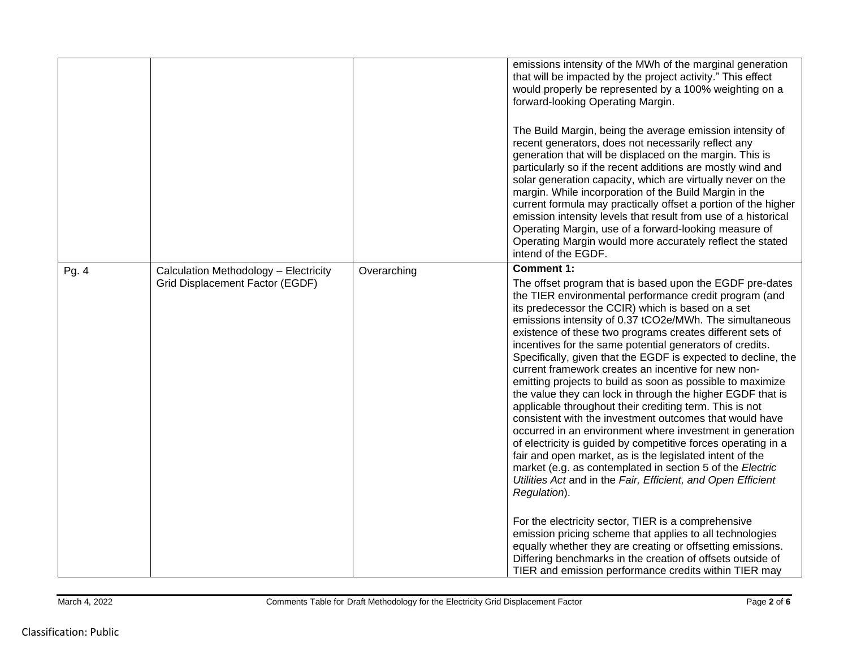|       |                                                                          |             | emissions intensity of the MWh of the marginal generation<br>that will be impacted by the project activity." This effect<br>would properly be represented by a 100% weighting on a<br>forward-looking Operating Margin.<br>The Build Margin, being the average emission intensity of<br>recent generators, does not necessarily reflect any<br>generation that will be displaced on the margin. This is<br>particularly so if the recent additions are mostly wind and<br>solar generation capacity, which are virtually never on the<br>margin. While incorporation of the Build Margin in the<br>current formula may practically offset a portion of the higher<br>emission intensity levels that result from use of a historical<br>Operating Margin, use of a forward-looking measure of<br>Operating Margin would more accurately reflect the stated<br>intend of the EGDF.                                                                                                                                                                                                                                                                                                                                                                                                                                                                                                                          |
|-------|--------------------------------------------------------------------------|-------------|-----------------------------------------------------------------------------------------------------------------------------------------------------------------------------------------------------------------------------------------------------------------------------------------------------------------------------------------------------------------------------------------------------------------------------------------------------------------------------------------------------------------------------------------------------------------------------------------------------------------------------------------------------------------------------------------------------------------------------------------------------------------------------------------------------------------------------------------------------------------------------------------------------------------------------------------------------------------------------------------------------------------------------------------------------------------------------------------------------------------------------------------------------------------------------------------------------------------------------------------------------------------------------------------------------------------------------------------------------------------------------------------------------------|
| Pg. 4 | Calculation Methodology - Electricity<br>Grid Displacement Factor (EGDF) | Overarching | <b>Comment 1:</b><br>The offset program that is based upon the EGDF pre-dates<br>the TIER environmental performance credit program (and<br>its predecessor the CCIR) which is based on a set<br>emissions intensity of 0.37 tCO2e/MWh. The simultaneous<br>existence of these two programs creates different sets of<br>incentives for the same potential generators of credits.<br>Specifically, given that the EGDF is expected to decline, the<br>current framework creates an incentive for new non-<br>emitting projects to build as soon as possible to maximize<br>the value they can lock in through the higher EGDF that is<br>applicable throughout their crediting term. This is not<br>consistent with the investment outcomes that would have<br>occurred in an environment where investment in generation<br>of electricity is guided by competitive forces operating in a<br>fair and open market, as is the legislated intent of the<br>market (e.g. as contemplated in section 5 of the Electric<br>Utilities Act and in the Fair, Efficient, and Open Efficient<br>Regulation).<br>For the electricity sector, TIER is a comprehensive<br>emission pricing scheme that applies to all technologies<br>equally whether they are creating or offsetting emissions.<br>Differing benchmarks in the creation of offsets outside of<br>TIER and emission performance credits within TIER may |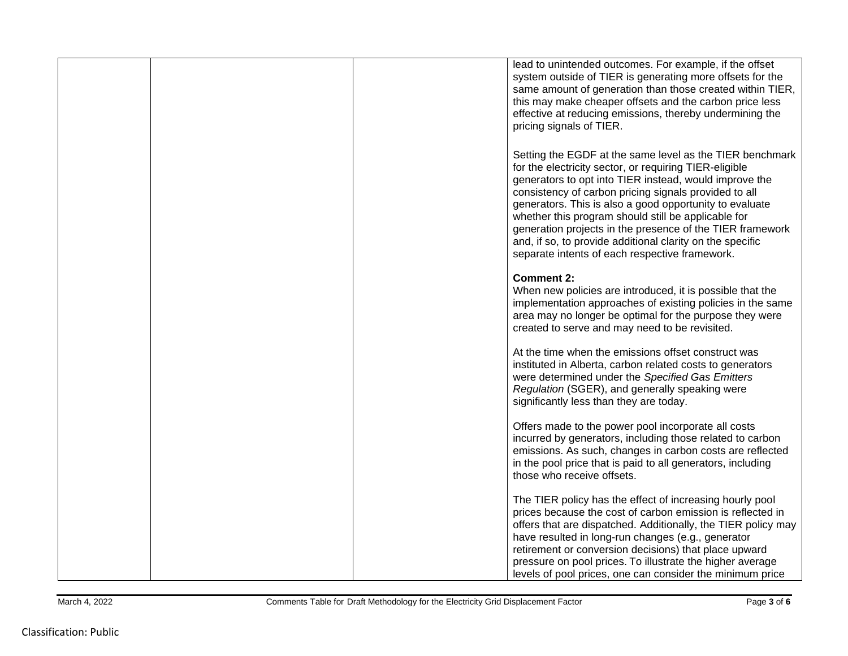|  | lead to unintended outcomes. For example, if the offset<br>system outside of TIER is generating more offsets for the<br>same amount of generation than those created within TIER,<br>this may make cheaper offsets and the carbon price less<br>effective at reducing emissions, thereby undermining the<br>pricing signals of TIER.                                                                                                                                                                                                |
|--|-------------------------------------------------------------------------------------------------------------------------------------------------------------------------------------------------------------------------------------------------------------------------------------------------------------------------------------------------------------------------------------------------------------------------------------------------------------------------------------------------------------------------------------|
|  | Setting the EGDF at the same level as the TIER benchmark<br>for the electricity sector, or requiring TIER-eligible<br>generators to opt into TIER instead, would improve the<br>consistency of carbon pricing signals provided to all<br>generators. This is also a good opportunity to evaluate<br>whether this program should still be applicable for<br>generation projects in the presence of the TIER framework<br>and, if so, to provide additional clarity on the specific<br>separate intents of each respective framework. |
|  | <b>Comment 2:</b><br>When new policies are introduced, it is possible that the<br>implementation approaches of existing policies in the same<br>area may no longer be optimal for the purpose they were<br>created to serve and may need to be revisited.                                                                                                                                                                                                                                                                           |
|  | At the time when the emissions offset construct was<br>instituted in Alberta, carbon related costs to generators<br>were determined under the Specified Gas Emitters<br>Regulation (SGER), and generally speaking were<br>significantly less than they are today.                                                                                                                                                                                                                                                                   |
|  | Offers made to the power pool incorporate all costs<br>incurred by generators, including those related to carbon<br>emissions. As such, changes in carbon costs are reflected<br>in the pool price that is paid to all generators, including<br>those who receive offsets.                                                                                                                                                                                                                                                          |
|  | The TIER policy has the effect of increasing hourly pool<br>prices because the cost of carbon emission is reflected in<br>offers that are dispatched. Additionally, the TIER policy may<br>have resulted in long-run changes (e.g., generator<br>retirement or conversion decisions) that place upward<br>pressure on pool prices. To illustrate the higher average<br>levels of pool prices, one can consider the minimum price                                                                                                    |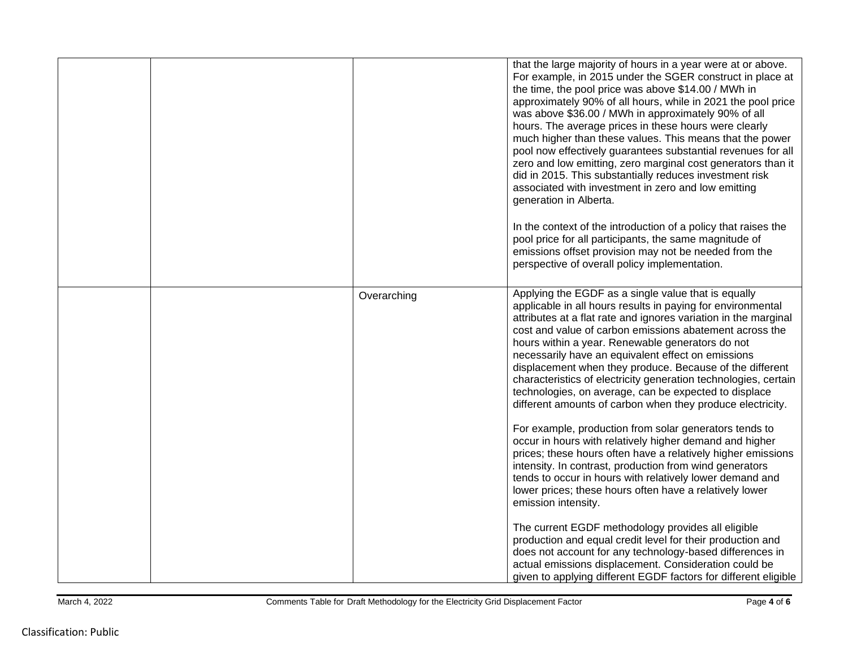|  |             | that the large majority of hours in a year were at or above.<br>For example, in 2015 under the SGER construct in place at<br>the time, the pool price was above \$14.00 / MWh in<br>approximately 90% of all hours, while in 2021 the pool price<br>was above \$36.00 / MWh in approximately 90% of all<br>hours. The average prices in these hours were clearly<br>much higher than these values. This means that the power<br>pool now effectively guarantees substantial revenues for all<br>zero and low emitting, zero marginal cost generators than it<br>did in 2015. This substantially reduces investment risk<br>associated with investment in zero and low emitting<br>generation in Alberta.<br>In the context of the introduction of a policy that raises the<br>pool price for all participants, the same magnitude of<br>emissions offset provision may not be needed from the<br>perspective of overall policy implementation.                                                                                                                       |
|--|-------------|----------------------------------------------------------------------------------------------------------------------------------------------------------------------------------------------------------------------------------------------------------------------------------------------------------------------------------------------------------------------------------------------------------------------------------------------------------------------------------------------------------------------------------------------------------------------------------------------------------------------------------------------------------------------------------------------------------------------------------------------------------------------------------------------------------------------------------------------------------------------------------------------------------------------------------------------------------------------------------------------------------------------------------------------------------------------|
|  | Overarching | Applying the EGDF as a single value that is equally<br>applicable in all hours results in paying for environmental<br>attributes at a flat rate and ignores variation in the marginal<br>cost and value of carbon emissions abatement across the<br>hours within a year. Renewable generators do not<br>necessarily have an equivalent effect on emissions<br>displacement when they produce. Because of the different<br>characteristics of electricity generation technologies, certain<br>technologies, on average, can be expected to displace<br>different amounts of carbon when they produce electricity.<br>For example, production from solar generators tends to<br>occur in hours with relatively higher demand and higher<br>prices; these hours often have a relatively higher emissions<br>intensity. In contrast, production from wind generators<br>tends to occur in hours with relatively lower demand and<br>lower prices; these hours often have a relatively lower<br>emission intensity.<br>The current EGDF methodology provides all eligible |
|  |             | production and equal credit level for their production and<br>does not account for any technology-based differences in<br>actual emissions displacement. Consideration could be<br>given to applying different EGDF factors for different eligible                                                                                                                                                                                                                                                                                                                                                                                                                                                                                                                                                                                                                                                                                                                                                                                                                   |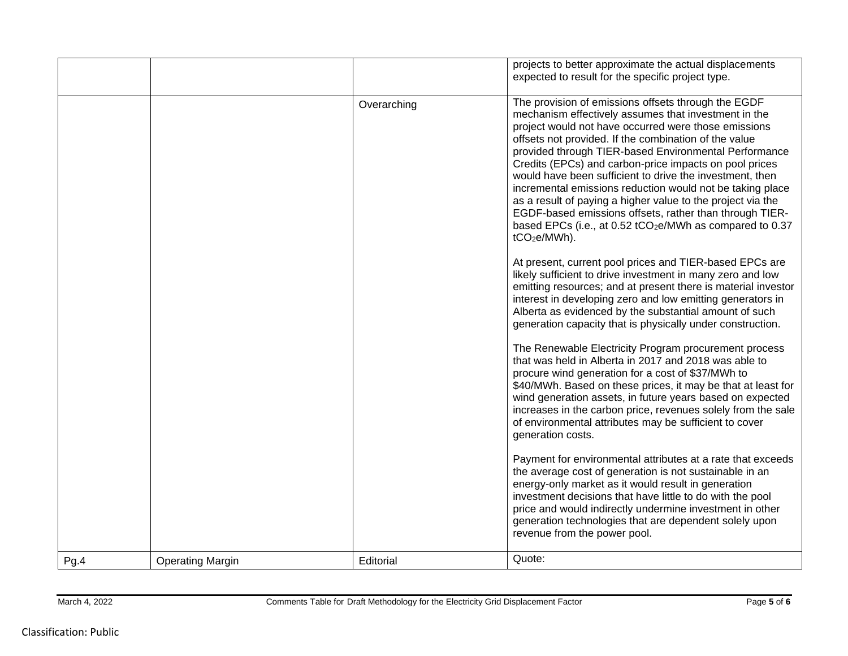|      |                         |             | projects to better approximate the actual displacements<br>expected to result for the specific project type.                                                                                                                                                                                                                                                                                                                                                                                                                                                                                                                                                                                           |
|------|-------------------------|-------------|--------------------------------------------------------------------------------------------------------------------------------------------------------------------------------------------------------------------------------------------------------------------------------------------------------------------------------------------------------------------------------------------------------------------------------------------------------------------------------------------------------------------------------------------------------------------------------------------------------------------------------------------------------------------------------------------------------|
|      |                         | Overarching | The provision of emissions offsets through the EGDF<br>mechanism effectively assumes that investment in the<br>project would not have occurred were those emissions<br>offsets not provided. If the combination of the value<br>provided through TIER-based Environmental Performance<br>Credits (EPCs) and carbon-price impacts on pool prices<br>would have been sufficient to drive the investment, then<br>incremental emissions reduction would not be taking place<br>as a result of paying a higher value to the project via the<br>EGDF-based emissions offsets, rather than through TIER-<br>based EPCs (i.e., at 0.52 tCO <sub>2</sub> e/MWh as compared to 0.37<br>tCO <sub>2</sub> e/MWh). |
|      |                         |             | At present, current pool prices and TIER-based EPCs are<br>likely sufficient to drive investment in many zero and low<br>emitting resources; and at present there is material investor<br>interest in developing zero and low emitting generators in<br>Alberta as evidenced by the substantial amount of such<br>generation capacity that is physically under construction.                                                                                                                                                                                                                                                                                                                           |
|      |                         |             | The Renewable Electricity Program procurement process<br>that was held in Alberta in 2017 and 2018 was able to<br>procure wind generation for a cost of \$37/MWh to<br>\$40/MWh. Based on these prices, it may be that at least for<br>wind generation assets, in future years based on expected<br>increases in the carbon price, revenues solely from the sale<br>of environmental attributes may be sufficient to cover<br>generation costs.                                                                                                                                                                                                                                                        |
|      |                         |             | Payment for environmental attributes at a rate that exceeds<br>the average cost of generation is not sustainable in an<br>energy-only market as it would result in generation<br>investment decisions that have little to do with the pool<br>price and would indirectly undermine investment in other<br>generation technologies that are dependent solely upon<br>revenue from the power pool.                                                                                                                                                                                                                                                                                                       |
| Pg.4 | <b>Operating Margin</b> | Editorial   | Quote:                                                                                                                                                                                                                                                                                                                                                                                                                                                                                                                                                                                                                                                                                                 |